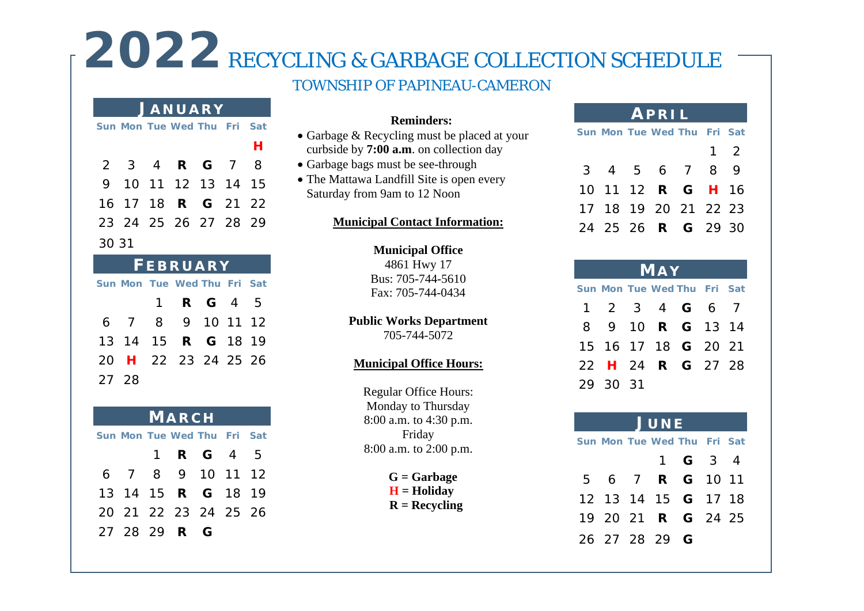# 2022 RECYCLING & GARBAGE COLLECTION SCHEDULE

# TOWNSHIP OF PAPINEAU-CAMERON

### **J ANUARY**

|       |  | Sun Mon Tue Wed Thu Fri Sat |  |   |
|-------|--|-----------------------------|--|---|
|       |  |                             |  | н |
|       |  | 2 3 4 <b>R G</b> 7 8        |  |   |
|       |  | 9 10 11 12 13 14 15         |  |   |
|       |  | 16 17 18 <b>R G</b> 21 22   |  |   |
|       |  | 23 24 25 26 27 28 29        |  |   |
| 30 31 |  |                             |  |   |

| <b>FEBRUARY</b>             |  |                  |  |  |  |  |  |  |  |
|-----------------------------|--|------------------|--|--|--|--|--|--|--|
| Sun Mon Tue Wed Thu Fri Sat |  |                  |  |  |  |  |  |  |  |
|                             |  | 1 <b>R G</b> 4 5 |  |  |  |  |  |  |  |
| 6 7 8 9 10 11 12            |  |                  |  |  |  |  |  |  |  |
| 13 14 15 <b>R G</b> 18 19   |  |                  |  |  |  |  |  |  |  |
| 20 H 22 23 24 25 26         |  |                  |  |  |  |  |  |  |  |
| 27 28                       |  |                  |  |  |  |  |  |  |  |

| <b>MARCH</b>                |                           |  |                  |  |  |  |  |  |  |
|-----------------------------|---------------------------|--|------------------|--|--|--|--|--|--|
| Sun Mon Tue Wed Thu Fri Sat |                           |  |                  |  |  |  |  |  |  |
|                             |                           |  | 1 <b>R G</b> 4 5 |  |  |  |  |  |  |
|                             | 6 7 8 9 10 11 12          |  |                  |  |  |  |  |  |  |
|                             | 13 14 15 <b>R G</b> 18 19 |  |                  |  |  |  |  |  |  |
|                             | 20 21 22 23 24 25 26      |  |                  |  |  |  |  |  |  |
|                             | 27 28 29 <b>R</b> G       |  |                  |  |  |  |  |  |  |

### **Reminders:**

- Garbage & Recycling must be placed at your curbside by **7:00 a.m**. on collection day
- Garbage bags must be see-through
- The Mattawa Landfill Site is open every Saturday from 9am to 12 Noon

### **Municipal Contact Information:**

**Municipal Office** 4861 Hwy 17

Bus: 705-744-5610 Fax: 705-744-0434

### **Public Works Department** 705-744-5072

### **Municipal Office Hours:**

Regular Office Hours: Monday to Thursday 8:00 a.m. to 4:30 p.m. Friday 8:00 a.m. to 2:00 p.m.

> **G = Garbage**  $H =$ **Holiday**

 **R = Recycling**

# **APRIL**

|  | Sun Mon Tue Wed Thu Fri Sat |            |  |
|--|-----------------------------|------------|--|
|  |                             | $1\quad 2$ |  |
|  | 3 4 5 6 7 8 9               |            |  |
|  | 10 11 12 R G H 16           |            |  |
|  | 17 18 19 20 21 22 23        |            |  |
|  | 24 25 26 <b>R G</b> 29 30   |            |  |

|                             | <b>MAY</b> |  |                            |  |  |  |  |  |  |
|-----------------------------|------------|--|----------------------------|--|--|--|--|--|--|
| Sun Mon Tue Wed Thu Fri Sat |            |  |                            |  |  |  |  |  |  |
|                             |            |  | 1 2 3 4 <b>G</b> 6 7       |  |  |  |  |  |  |
|                             |            |  | 8 9 10 <b>R G</b> 13 14    |  |  |  |  |  |  |
|                             |            |  | 15 16 17 18 <b>G</b> 20 21 |  |  |  |  |  |  |
|                             |            |  | 22 H 24 R G 27 28          |  |  |  |  |  |  |
|                             | 29 30 31   |  |                            |  |  |  |  |  |  |

# **J UNE**

**Sun Mon Tue Wed Thu Fri Sat** 1 **G** 3 4 6 7 **R G** 10 11 13 14 15 **G** 17 18 20 21 **R G** 24 25 27 28 29 **G**